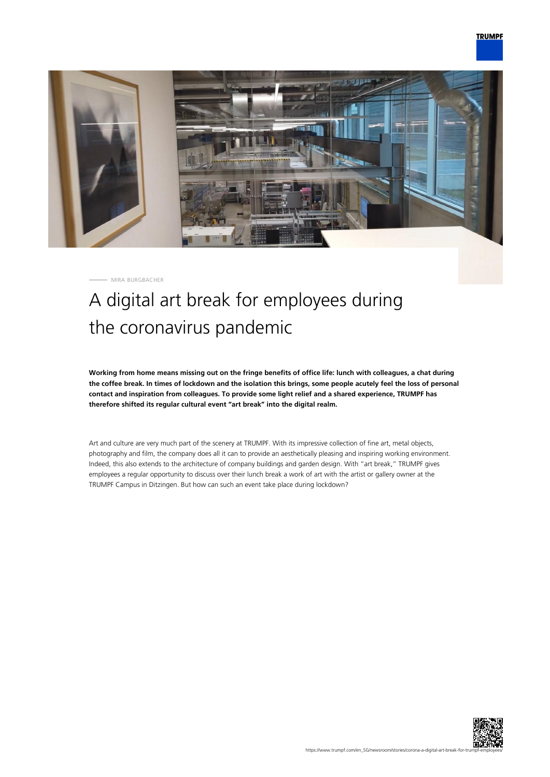

MIRA BURGBACHER

## A digital art break for employees during the coronavirus pandemic

**Working from home means missing out on the fringe benefits of office life: lunch with colleagues, a chat during the coffee break. In times of lockdown and the isolation this brings, some people acutely feel the loss of personal contact and inspiration from colleagues. To provide some light relief and a shared experience, TRUMPF has therefore shifted its regular cultural event "art break" into the digital realm.**

Art and culture are very much part of the scenery at TRUMPF. With its impressive collection of fine art, metal objects, photography and film, the company does all it can to provide an aesthetically pleasing and inspiring working environment. Indeed, this also extends to the architecture of company buildings and garden design. With "art break," TRUMPF gives employees a regular opportunity to discuss over their lunch break a work of art with the artist or gallery owner at the TRUMPF Campus in Ditzingen. But how can such an event take place during lockdown?